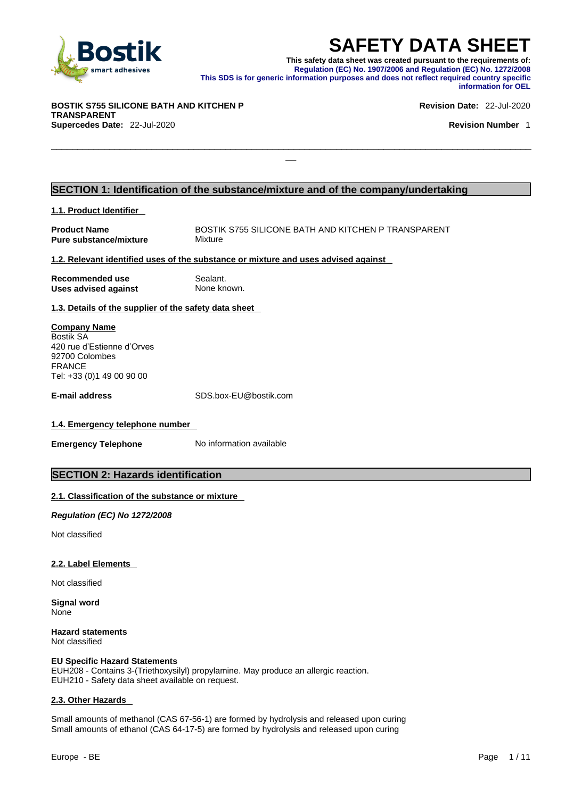

**SAFETY DATA SHEET**<br>This safety data sheet was created pursuant to the requirements of:<br>Regulation (EC) No. 1907/2006 and Regulation (EC) No. 1272/2008<br>information purposes and does not reflect required country specific<br>in **This safety data sheet was created pursuant to the requirements of: Regulation (EC) No. 1907/2006 and Regulation (EC) No. 1272/2008 This SDS is for generic information purposes and does not reflect required country specific information for OEL** 

\_\_\_\_\_\_\_\_\_\_\_\_\_\_\_\_\_\_\_\_\_\_\_\_\_\_\_\_\_\_\_\_\_\_\_\_\_\_\_\_\_\_\_\_\_\_\_\_\_\_\_\_\_\_\_\_\_\_\_\_\_\_\_\_\_\_\_\_\_\_\_\_\_\_\_\_\_\_\_\_\_\_\_\_\_\_\_\_\_\_\_

**BOSTIK S755 SILICONE BATH AND KITCHEN P TRANSPARENT Supercedes Date:** 22-Jul-2020 **Revision Number** 1

**Revision Date:** 22-Jul-2020

### **SECTION 1: Identification of the substance/mixture and of the company/undertaking**

### **1.1. Product Identifier**

**Product Name** BOSTIK S755 SILICONE BATH AND KITCHEN P TRANSPARENT<br> **Pure substance/mixture** Mixture **Pure substance/mixture** 

### **1.2. Relevant identified uses of the substance or mixture and uses advised against**

| Recommended use             | Sealant.    |
|-----------------------------|-------------|
| <b>Uses advised against</b> | None known. |

### **1.3. Details of the supplier of the safety data sheet**

**Company Name** Bostik SA 420 rue d'Estienne d'Orves 92700 Colombes FRANCE Tel: +33 (0)1 49 00 90 00

**E-mail address** SDS.box-EU@bostik.com

### **1.4. Emergency telephone number**

**Emergency Telephone** No information available

### **SECTION 2: Hazards identification**

### **2.1. Classification of the substance or mixture**

*Regulation (EC) No 1272/2008* 

Not classified

### **2.2. Label Elements**

Not classified

**Signal word** None

**Hazard statements** Not classified

### **EU Specific Hazard Statements**

EUH208 - Contains 3-(Triethoxysilyl) propylamine. May produce an allergic reaction.<br>EUH210 - Safety data sheet available on request.

### **2.3. Other Hazards**

Small amounts of methanol (CAS 67-56-1) are formed by hydrolysis and released upon curing Small amounts of ethanol (CAS 64-17-5) are formed by hydrolysis and released upon curing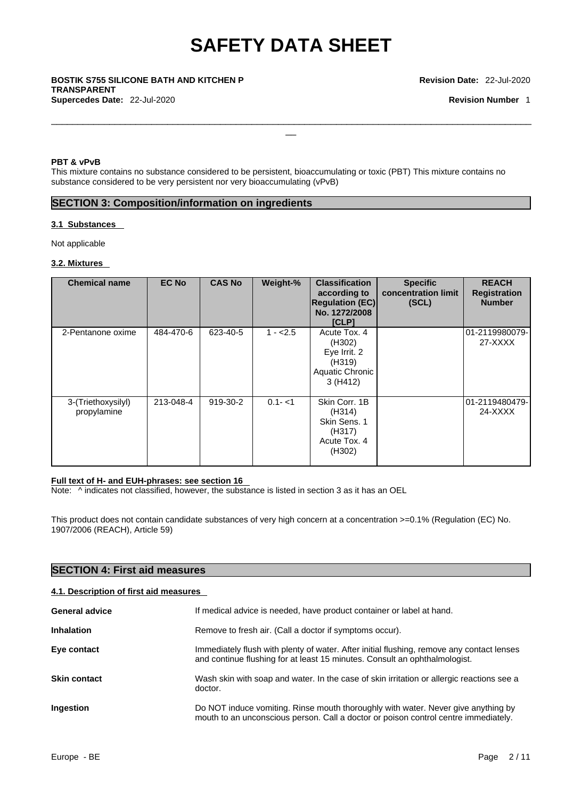$\Box$ 

### \_\_ **BOSTIK S755 SILICONE BATH AND KITCHEN <sup>P</sup> TRANSPARENT Supercedes Date:** 22-Jul-2020 **Revision Number** 1

### **PBT & vPvB**

This mixture contains no substance considered to be persistent, bioaccumulating or toxic (PBT) This mixture contains no substance considered to be very persistent nor very bioaccumulating (vPvB)

### **SECTION 3: Composition/information on ingredients**

### **3.1 Substances**

Not applicable

### **3.2. Mixtures**

| <b>Chemical name</b>              | <b>EC No</b> | <b>CAS No</b> | Weight-%  | <b>Classification</b><br>according to<br><b>Regulation (EC)</b><br>No. 1272/2008<br><b>[CLP]</b> | <b>Specific</b><br>concentration limit<br>(SCL) | <b>REACH</b><br><b>Registration</b><br><b>Number</b> |
|-----------------------------------|--------------|---------------|-----------|--------------------------------------------------------------------------------------------------|-------------------------------------------------|------------------------------------------------------|
| 2-Pentanone oxime                 | 484-470-6    | 623-40-5      | $1 - 2.5$ | Acute Tox, 4<br>(H302)<br>Eye Irrit. 2<br>(H319)<br>Aquatic Chronic<br>3(H412)                   |                                                 | 01-2119980079-<br>27-XXXX                            |
| 3-(Triethoxysilyl)<br>propylamine | 213-048-4    | 919-30-2      | $0.1 - 1$ | Skin Corr. 1B<br>(H314)<br>Skin Sens. 1<br>(H317)<br>Acute Tox, 4<br>(H302)                      |                                                 | 01-2119480479-<br>24-XXXX                            |

### **Full text of H- and EUH-phrases: see section 16**

Note: ^ indicates not classified, however, the substance is listed in section 3 as it has an OEL

This product does not contain candidate substances of very high concern at a concentration >=0.1% (Regulation (EC) No. 1907/2006 (REACH), Article 59)

### **SECTION 4: First aid measures**

### **4.1. Description of first aid measures**

| <b>General advice</b> | If medical advice is needed, have product container or label at hand.                                                                                                    |
|-----------------------|--------------------------------------------------------------------------------------------------------------------------------------------------------------------------|
| <b>Inhalation</b>     | Remove to fresh air. (Call a doctor if symptoms occur).                                                                                                                  |
| Eye contact           | Immediately flush with plenty of water. After initial flushing, remove any contact lenses<br>and continue flushing for at least 15 minutes. Consult an ophthalmologist.  |
| <b>Skin contact</b>   | Wash skin with soap and water. In the case of skin irritation or allergic reactions see a<br>doctor.                                                                     |
| Ingestion             | Do NOT induce vomiting. Rinse mouth thoroughly with water. Never give anything by<br>mouth to an unconscious person. Call a doctor or poison control centre immediately. |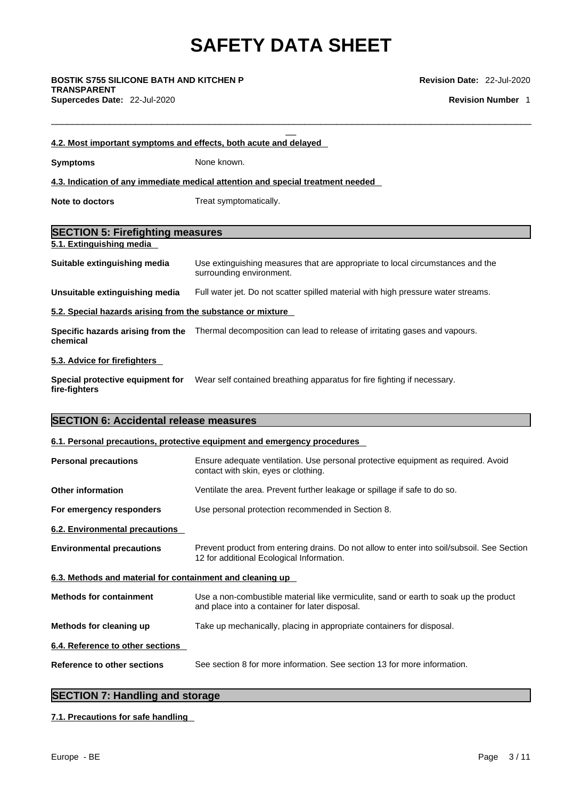$\Box$ 

\_\_ **BOSTIK S755 SILICONE BATH AND KITCHEN <sup>P</sup> TRANSPARENT Supercedes Date:** 22-Jul-2020 **Revision Number** 1

**Revision Date:** 22-Jul-2020

| 4.2. Most important symptoms and effects, both acute and delayed |                                                                                 |
|------------------------------------------------------------------|---------------------------------------------------------------------------------|
| Symptoms                                                         | None known.                                                                     |
|                                                                  | 4.3. Indication of any immediate medical attention and special treatment needed |
| Note to doctors                                                  | Treat symptomatically.                                                          |

### **SECTION 5: Firefighting measures**

**5.1. Extinguishing media** 

**Suitable extinguishing media** Use extinguishing measures that are appropriate to local circumstances and the surrounding environment.

**Unsuitable extinguishing media** Full water jet. Do not scatter spilled material with high pressure water streams.

### **5.2. Special hazards arising from the substance or mixture**

**Specific hazards arising from the** Thermal decomposition can lead to release of irritating gases and vapours. **chemical**

### **5.3. Advice for firefighters**

**Special protective equipment for fire-fighters** Wear self contained breathing apparatus for fire fighting if necessary.

### **SECTION 6: Accidental release measures**

### **6.1. Personal precautions, protective equipment and emergency procedures**

| <b>Personal precautions</b>                               | Ensure adequate ventilation. Use personal protective equipment as required. Avoid<br>contact with skin, eyes or clothing.               |
|-----------------------------------------------------------|-----------------------------------------------------------------------------------------------------------------------------------------|
| <b>Other information</b>                                  | Ventilate the area. Prevent further leakage or spillage if safe to do so.                                                               |
| For emergency responders                                  | Use personal protection recommended in Section 8.                                                                                       |
| 6.2. Environmental precautions                            |                                                                                                                                         |
| <b>Environmental precautions</b>                          | Prevent product from entering drains. Do not allow to enter into soil/subsoil. See Section<br>12 for additional Ecological Information. |
| 6.3. Methods and material for containment and cleaning up |                                                                                                                                         |
| <b>Methods for containment</b>                            | Use a non-combustible material like vermiculite, sand or earth to soak up the product<br>and place into a container for later disposal. |
| Methods for cleaning up                                   | Take up mechanically, placing in appropriate containers for disposal.                                                                   |
| 6.4. Reference to other sections                          |                                                                                                                                         |
| <b>Reference to other sections</b>                        | See section 8 for more information. See section 13 for more information.                                                                |
|                                                           |                                                                                                                                         |

### **SECTION 7: Handling and storage**

### **7.1. Precautions for safe handling**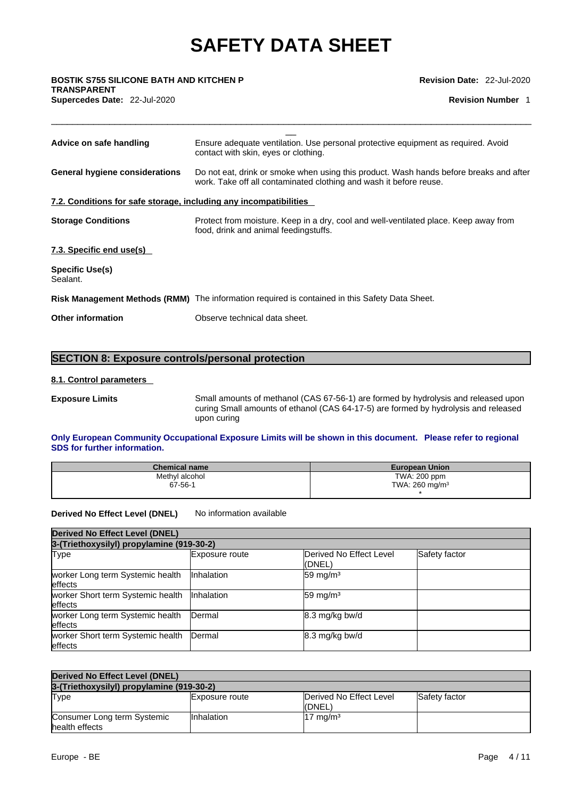$\Box$ 

\_\_ **BOSTIK S755 SILICONE BATH AND KITCHEN <sup>P</sup> TRANSPARENT** 

**Revision Date:** 22-Jul-2020

**Supercedes Date:** 22-Jul-2020 **Revision Number** 1

| Advice on safe handling                                           | Ensure adequate ventilation. Use personal protective equipment as required. Avoid<br>contact with skin, eyes or clothing.                                    |  |  |
|-------------------------------------------------------------------|--------------------------------------------------------------------------------------------------------------------------------------------------------------|--|--|
| General hygiene considerations                                    | Do not eat, drink or smoke when using this product. Wash hands before breaks and after<br>work. Take off all contaminated clothing and wash it before reuse. |  |  |
| 7.2. Conditions for safe storage, including any incompatibilities |                                                                                                                                                              |  |  |
| <b>Storage Conditions</b>                                         | Protect from moisture. Keep in a dry, cool and well-ventilated place. Keep away from<br>food, drink and animal feedingstuffs.                                |  |  |
| 7.3. Specific end use(s)                                          |                                                                                                                                                              |  |  |
| <b>Specific Use(s)</b><br>Sealant.                                |                                                                                                                                                              |  |  |
|                                                                   | Risk Management Methods (RMM) The information required is contained in this Safety Data Sheet.                                                               |  |  |
| <b>Other information</b>                                          | Observe technical data sheet.                                                                                                                                |  |  |
|                                                                   |                                                                                                                                                              |  |  |

### **SECTION 8: Exposure controls/personal protection**

### **8.1. Control parameters**

**Exposure Limits** Small amounts of methanol (CAS 67-56-1) are formed by hydrolysis and released upon curing Small amounts of ethanol (CAS 64-17-5) are formed by hydrolysis and released upon curing

### **Only European Community Occupational Exposure Limits will be shown in this document. Please refer to regional SDS for further information.**

| <b>Chemical name</b> | <b>European Union</b>        |
|----------------------|------------------------------|
| Methyl alcohol       | TWA: 200 ppm                 |
| $67 - 56 - 1$        | TWA: $260$ mg/m <sup>3</sup> |
|                      |                              |

**Derived No Effect Level (DNEL)** No information available

| <b>Derived No Effect Level (DNEL)</b>                |                   |                                   |               |
|------------------------------------------------------|-------------------|-----------------------------------|---------------|
| 3-(Triethoxysilyl) propylamine (919-30-2)            |                   |                                   |               |
| Type                                                 | Exposure route    | Derived No Effect Level<br>(DNEL) | Safety factor |
| worker Long term Systemic health<br><b>leffects</b>  | <b>Inhalation</b> | 59 mg/m $3$                       |               |
| worker Short term Systemic health<br><b>leffects</b> | <b>Inhalation</b> | 59 mg/m <sup>3</sup>              |               |
| worker Long term Systemic health<br>effects          | <b>IDermal</b>    | 8.3 mg/kg bw/d                    |               |
| worker Short term Systemic health<br>effects         | Dermal            | 8.3 mg/kg bw/d                    |               |

| Derived No Effect Level (DNEL)                |                       |                                    |               |
|-----------------------------------------------|-----------------------|------------------------------------|---------------|
| 3-(Triethoxysilyl) propylamine (919-30-2)     |                       |                                    |               |
| <b>Type</b>                                   | <b>Exposure route</b> | Derived No Effect Level<br>l(DNEL) | Safety factor |
| Consumer Long term Systemic<br>health effects | <b>Inhalation</b>     | $17 \text{ mg/m}^3$                |               |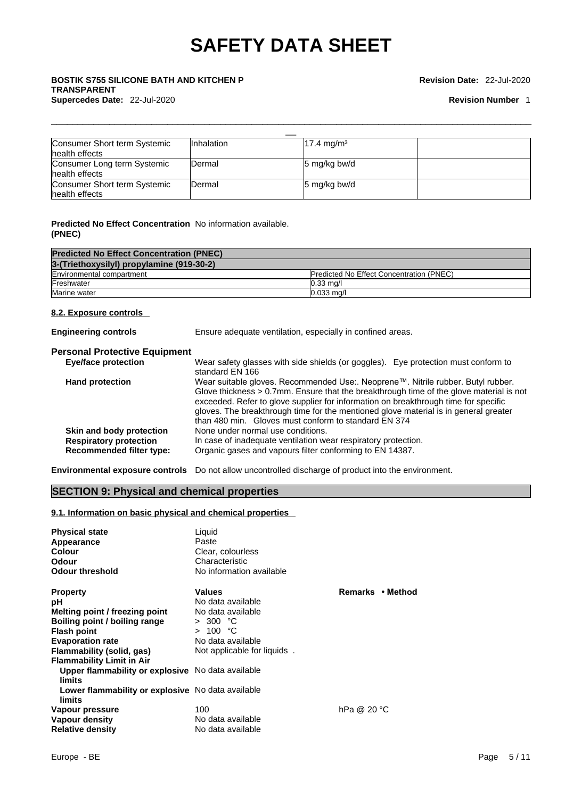### \_\_ **BOSTIK S755 SILICONE BATH AND KITCHEN <sup>P</sup> TRANSPARENT Supercedes Date:** 22-Jul-2020 **Revision Number** 1

### **Revision Date:** 22-Jul-2020

| Consumer Short term Systemic | <b>Inhalation</b> | $17.4 \text{ mg/m}^3$ |  |
|------------------------------|-------------------|-----------------------|--|
| health effects               |                   |                       |  |
| Consumer Long term Systemic  | <b>Dermal</b>     | 5 mg/kg bw/d          |  |
| health effects               |                   |                       |  |
| Consumer Short term Systemic | Dermal            | 5 mg/kg bw/d          |  |
| health effects               |                   |                       |  |

 $\Box$ 

### **Predicted No Effect Concentration** No information available. **(PNEC)**

| <b>Predicted No Effect Concentration (PNEC)</b> |                                                 |
|-------------------------------------------------|-------------------------------------------------|
| 3-(Triethoxysilyl) propylamine (919-30-2)       |                                                 |
| Environmental compartment                       | <b>Predicted No Effect Concentration (PNEC)</b> |
| Freshwater                                      | $0.33 \text{ ma/l}$                             |
| Marine water                                    | $0.033$ mg/l                                    |

### **8.2. Exposure controls**

**Engineering controls** Ensure adequate ventilation, especially in confined areas.

### **Personal Protective Equipment**

| <b>Eye/face protection</b>      | Wear safety glasses with side shields (or goggles). Eye protection must conform to      |
|---------------------------------|-----------------------------------------------------------------------------------------|
|                                 | standard EN 166                                                                         |
| <b>Hand protection</b>          | Wear suitable gloves. Recommended Use:. Neoprene™. Nitrile rubber. Butyl rubber.        |
|                                 | Glove thickness > 0.7mm. Ensure that the breakthrough time of the glove material is not |
|                                 | exceeded. Refer to glove supplier for information on breakthrough time for specific     |
|                                 | gloves. The breakthrough time for the mentioned glove material is in general greater    |
|                                 | than 480 min. Gloves must conform to standard EN 374                                    |
| Skin and body protection        | None under normal use conditions.                                                       |
| <b>Respiratory protection</b>   | In case of inadequate ventilation wear respiratory protection.                          |
| <b>Recommended filter type:</b> | Organic gases and vapours filter conforming to EN 14387.                                |

**Environmental exposure controls** Do not allow uncontrolled discharge of product into the environment.

### **SECTION 9: Physical and chemical properties**

### **9.1. Information on basic physical and chemical properties**

| <b>Physical state</b><br>Appearance<br><b>Colour</b><br>Odour<br><b>Odour threshold</b> | Liquid<br>Paste<br>Clear, colourless<br>Characteristic<br>No information available |                  |
|-----------------------------------------------------------------------------------------|------------------------------------------------------------------------------------|------------------|
| <b>Property</b>                                                                         | <b>Values</b>                                                                      | Remarks • Method |
| рH                                                                                      | No data available                                                                  |                  |
| Melting point / freezing point                                                          | No data available                                                                  |                  |
| Boiling point / boiling range                                                           | > 300 °C                                                                           |                  |
| <b>Flash point</b>                                                                      | > 100 °C                                                                           |                  |
| <b>Evaporation rate</b>                                                                 | No data available                                                                  |                  |
| Flammability (solid, gas)                                                               | Not applicable for liquids                                                         |                  |
| <b>Flammability Limit in Air</b>                                                        |                                                                                    |                  |
| Upper flammability or explosive No data available<br>limits                             |                                                                                    |                  |
| Lower flammability or explosive No data available<br>limits                             |                                                                                    |                  |
| Vapour pressure                                                                         | 100                                                                                | hPa @ 20 °C      |
| Vapour density                                                                          | No data available                                                                  |                  |
| <b>Relative density</b>                                                                 | No data available                                                                  |                  |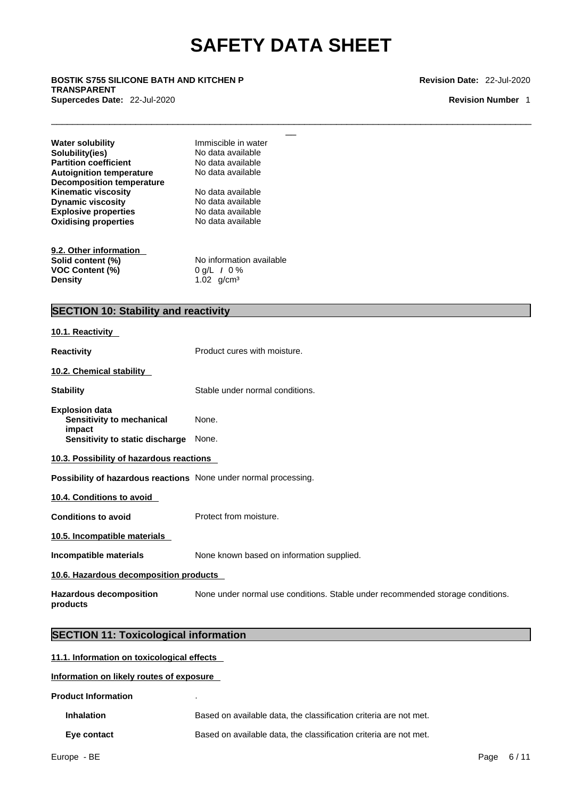$\Box$ 

### \_\_ **BOSTIK S755 SILICONE BATH AND KITCHEN <sup>P</sup> TRANSPARENT Supercedes Date:** 22-Jul-2020 **Revision Number** 1

**Revision Date:** 22-Jul-2020

| Water solubility                 | Immiscible in water      |
|----------------------------------|--------------------------|
| Solubility(ies)                  | No data available        |
| <b>Partition coefficient</b>     | No data available        |
| <b>Autoignition temperature</b>  | No data available        |
| <b>Decomposition temperature</b> |                          |
| Kinematic viscosity              | No data available        |
| <b>Dynamic viscosity</b>         | No data available        |
| <b>Explosive properties</b>      | No data available        |
| <b>Oxidising properties</b>      | No data available        |
| 9.2. Other information           |                          |
| Solid content (%)                | No information available |
| <b>VOC Content (%)</b>           | 0 g/L $/$ 0 %            |
| Density                          | 1.02 $q/cm^3$            |
|                                  |                          |

### **SECTION 10: Stability and reactivity**

| 10.1. Reactivity                                                                                |                                                                                |
|-------------------------------------------------------------------------------------------------|--------------------------------------------------------------------------------|
| <b>Reactivity</b>                                                                               | Product cures with moisture.                                                   |
| 10.2. Chemical stability                                                                        |                                                                                |
| <b>Stability</b>                                                                                | Stable under normal conditions.                                                |
| <b>Explosion data</b><br>Sensitivity to mechanical<br>impact<br>Sensitivity to static discharge | None.<br>None.                                                                 |
| 10.3. Possibility of hazardous reactions                                                        |                                                                                |
| Possibility of hazardous reactions None under normal processing.                                |                                                                                |
| 10.4. Conditions to avoid                                                                       |                                                                                |
| <b>Conditions to avoid</b>                                                                      | Protect from moisture.                                                         |
| 10.5. Incompatible materials                                                                    |                                                                                |
| Incompatible materials                                                                          | None known based on information supplied.                                      |
| 10.6. Hazardous decomposition products                                                          |                                                                                |
| <b>Hazardous decomposition</b><br>products                                                      | None under normal use conditions. Stable under recommended storage conditions. |
|                                                                                                 |                                                                                |

### **SECTION 11: Toxicological information**

### **11.1. Information on toxicological effects**

**Information on likely routes of exposure**

**Product Information** .

| <b>Inhalation</b> | Based on available data, the classification criteria are not met. |
|-------------------|-------------------------------------------------------------------|
| Eye contact       | Based on available data, the classification criteria are not met. |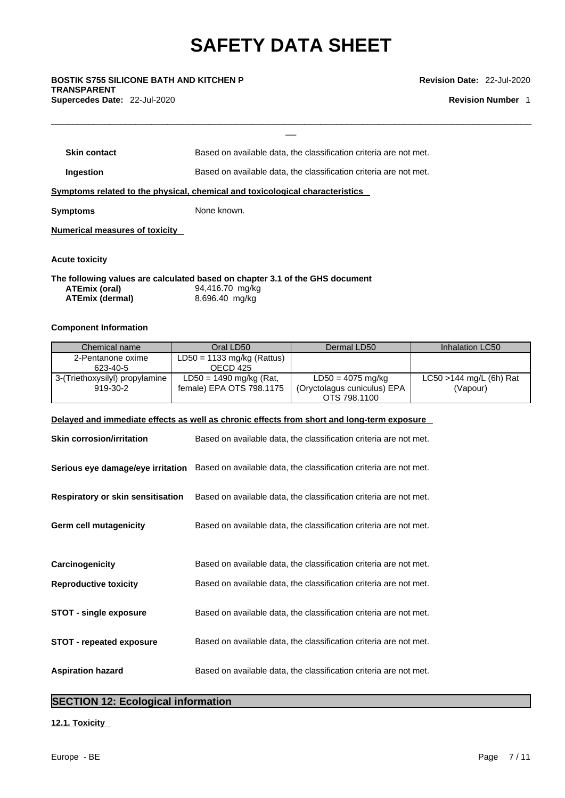$\Box$ 

\_\_ **BOSTIK S755 SILICONE BATH AND KITCHEN <sup>P</sup> TRANSPARENT Supercedes Date:** 22-Jul-2020 **Revision Number** 1

**Revision Date:** 22-Jul-2020

| <b>Skin contact</b>                     | Based on available data, the classification criteria are not met.            |  |
|-----------------------------------------|------------------------------------------------------------------------------|--|
| Ingestion                               | Based on available data, the classification criteria are not met.            |  |
|                                         | Symptoms related to the physical, chemical and toxicological characteristics |  |
| <b>Symptoms</b>                         | None known.                                                                  |  |
| <b>Numerical measures of toxicity</b>   |                                                                              |  |
| <b>Acute toxicity</b>                   |                                                                              |  |
|                                         | The following values are calculated based on chapter 3.1 of the GHS document |  |
| ATEmix (oral)<br><b>ATEmix (dermal)</b> | 94,416.70 mg/kg<br>8,696.40 mg/kg                                            |  |
|                                         |                                                                              |  |

### **Component Information**

| Chemical name                  | Oral LD50                    | Dermal LD50                 | Inhalation LC50            |
|--------------------------------|------------------------------|-----------------------------|----------------------------|
| 2-Pentanone oxime              | $LD50 = 1133$ mg/kg (Rattus) |                             |                            |
| 623-40-5                       | OECD 425                     |                             |                            |
| 3-(Triethoxysilyl) propylamine | $LD50 = 1490$ mg/kg (Rat,    | $LD50 = 4075$ mg/kg         | $LC50 > 144$ mg/L (6h) Rat |
| 919-30-2                       | female) EPA OTS 798.1175     | (Oryctolagus cuniculus) EPA | (Vapour)                   |
|                                |                              | OTS 798,1100                |                            |

### **Delayed and immediate effects as well as chronic effects from short and long-term exposure**

| <b>Skin corrosion/irritation</b>         | Based on available data, the classification criteria are not met.                                   |
|------------------------------------------|-----------------------------------------------------------------------------------------------------|
|                                          | Serious eye damage/eye irritation Based on available data, the classification criteria are not met. |
| <b>Respiratory or skin sensitisation</b> | Based on available data, the classification criteria are not met.                                   |
| Germ cell mutagenicity                   | Based on available data, the classification criteria are not met.                                   |
|                                          |                                                                                                     |
| Carcinogenicity                          | Based on available data, the classification criteria are not met.                                   |
| <b>Reproductive toxicity</b>             | Based on available data, the classification criteria are not met.                                   |
| <b>STOT - single exposure</b>            | Based on available data, the classification criteria are not met.                                   |
| <b>STOT - repeated exposure</b>          | Based on available data, the classification criteria are not met.                                   |
| <b>Aspiration hazard</b>                 | Based on available data, the classification criteria are not met.                                   |

### **SECTION 12: Ecological information**

### **12.1. Toxicity**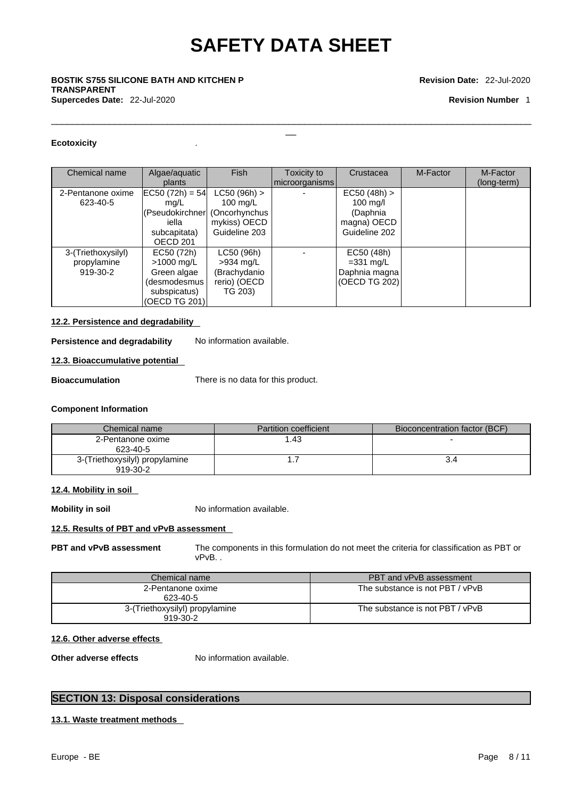$\Box$ 

\_\_ **BOSTIK S755 SILICONE BATH AND KITCHEN <sup>P</sup> TRANSPARENT Supercedes Date:** 22-Jul-2020 **Revision Number** 1

#### **Revision Date:** 22-Jul-2020

### **Ecotoxicity** .

| Chemical name                                 | Algae/aquatic<br>plants                                                                                      | <b>Fish</b>                                                          | Toxicity to<br>microorganisms | Crustacea                                                                        | M-Factor | M-Factor<br>(long-term) |
|-----------------------------------------------|--------------------------------------------------------------------------------------------------------------|----------------------------------------------------------------------|-------------------------------|----------------------------------------------------------------------------------|----------|-------------------------|
| 2-Pentanone oxime<br>623-40-5                 | $ EC50 (72h) = 54 $<br>mg/L<br>(Pseudokirchner (Oncorhynchus<br>iella<br>subcapitata)<br>OECD <sub>201</sub> | $LC50 (96h)$ ><br>100 $mg/L$<br>mykiss) OECD<br>Guideline 203        |                               | $EC50 (48h)$ ><br>$100 \text{ mg/l}$<br>(Daphnia<br>magna) OECD<br>Guideline 202 |          |                         |
| 3-(Triethoxysilyl)<br>propylamine<br>919-30-2 | EC50 (72h)<br>>1000 mg/L<br>Green algae<br>(desmodesmus<br>subspicatus)<br>(OECD TG 201)                     | LC50 (96h)<br>$>934$ mg/L<br>(Brachydanio<br>rerio) (OECD<br>TG 203) |                               | EC50 (48h)<br>$=331$ mg/L<br>Daphnia magna<br>(OECD TG 202)                      |          |                         |

### **12.2. Persistence and degradability**

**Persistence and degradability** No information available.

### **12.3. Bioaccumulative potential**

**Bioaccumulation** There is no data for this product.

#### **Component Information**

| Chemical name                              | <b>Partition coefficient</b> | Bioconcentration factor (BCF) |
|--------------------------------------------|------------------------------|-------------------------------|
| 2-Pentanone oxime<br>623-40-5              | .43                          |                               |
| 3-(Triethoxysilyl) propylamine<br>919-30-2 |                              |                               |

### **12.4. Mobility in soil**

**Mobility in soil** No information available.

### **12.5. Results of PBT and vPvB assessment**

**PBT and vPvB assessment** The components in this formulation do not meet the criteria for classification as PBT or vPvB. .

| Chemical name                              | PBT and vPvB assessment         |
|--------------------------------------------|---------------------------------|
| 2-Pentanone oxime<br>623-40-5              | The substance is not PBT / vPvB |
| 3-(Triethoxysilyl) propylamine<br>919-30-2 | The substance is not PBT / vPvB |

### **12.6. Other adverse effects**

**Other adverse effects** No information available.

### **SECTION 13: Disposal considerations**

### **13.1. Waste treatment methods**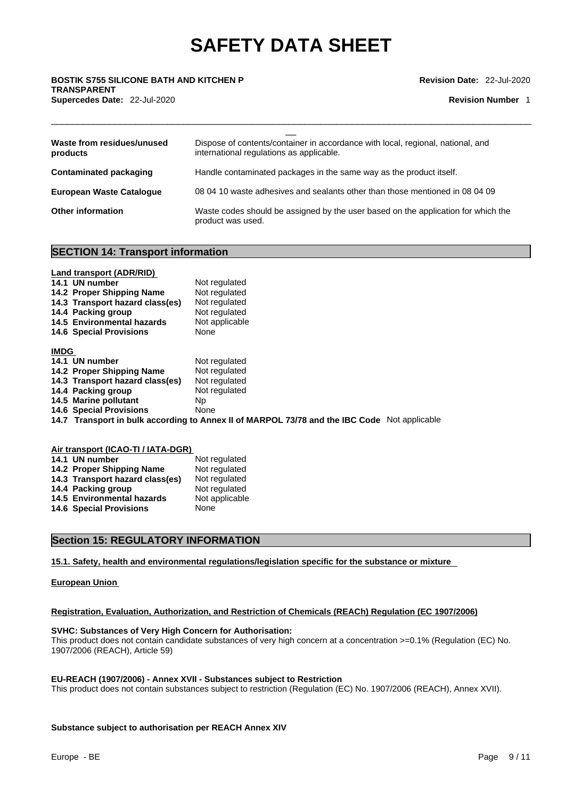$\Box$ 

\_\_ **BOSTIK S755 SILICONE BATH AND KITCHEN <sup>P</sup> TRANSPARENT Supercedes Date:** 22-Jul-2020 **Revision Number** 1

**Revision Date:** 22-Jul-2020

| Waste from residues/unused<br>products | Dispose of contents/container in accordance with local, regional, national, and<br>international regulations as applicable. |
|----------------------------------------|-----------------------------------------------------------------------------------------------------------------------------|
| Contaminated packaging                 | Handle contaminated packages in the same way as the product itself.                                                         |
| <b>European Waste Catalogue</b>        | 08 04 10 waste adhesives and sealants other than those mentioned in 08 04 09                                                |
| <b>Other information</b>               | Waste codes should be assigned by the user based on the application for which the<br>product was used.                      |

### **SECTION 14: Transport information**

### **Land transport (ADR/RID) 14.1 UN number**  Not regulated **14.2 Proper Shipping Name** Not regulated<br>**14.3 Transport hazard class(es)** Not regulated **14.3 Transport hazard class(es)** Not regulated **14.4 Packing group 14.4 Packing group 14.5 Environmental hazards** Not applicable<br>**14.6 Special Provisions** None **14.6 Special Provisions IMDG 14.1 UN number**  Not regulated **14.2 Proper Shipping Name** Not regulated **14.2 Proper Shipping Name** Not regulated **14.3 Transport hazard class(es)** Not regulated **14.3 Transport hazard class(es) 14.4 Packing group 14.4 Not regulated 14.5 Marine pollutant Np**<br> **14.6 Special Provisions** None **14.6 Special Provisions 14.7 Transport in bulk according to Annex II of MARPOL 73/78 and the IBC Code** Not applicable

| Air transport (ICAO-TI / IATA-DGR) |                |  |  |
|------------------------------------|----------------|--|--|
| 14.1 UN number                     | Not regulated  |  |  |
| 14.2 Proper Shipping Name          | Not regulated  |  |  |
| 14.3 Transport hazard class(es)    | Not regulated  |  |  |
| 14.4 Packing group                 | Not regulated  |  |  |
| 14.5 Environmental hazards         | Not applicable |  |  |
| <b>14.6 Special Provisions</b>     | None           |  |  |

**Air transport (ICAO-TI / IATA-DGR)**

### **Section 15: REGULATORY INFORMATION**

### **15.1. Safety, health and environmental regulations/legislation specific for the substance or mixture**

### **European Union**

### **Registration, Evaluation, Authorization, and Restriction of Chemicals (REACh) Regulation (EC 1907/2006)**

### **SVHC: Substances of Very High Concern for Authorisation:**

This product does not contain candidate substances of very high concern at a concentration  $>=0.1\%$  (Regulation (EC) No. 1907/2006 (REACH), Article 59)

#### **EU-REACH (1907/2006) - Annex XVII - Substances subject to Restriction**

This product does not contain substances subject to restriction (Regulation (EC) No. 1907/2006 (REACH), Annex XVII).

#### **Substance subject to authorisation per REACH Annex XIV**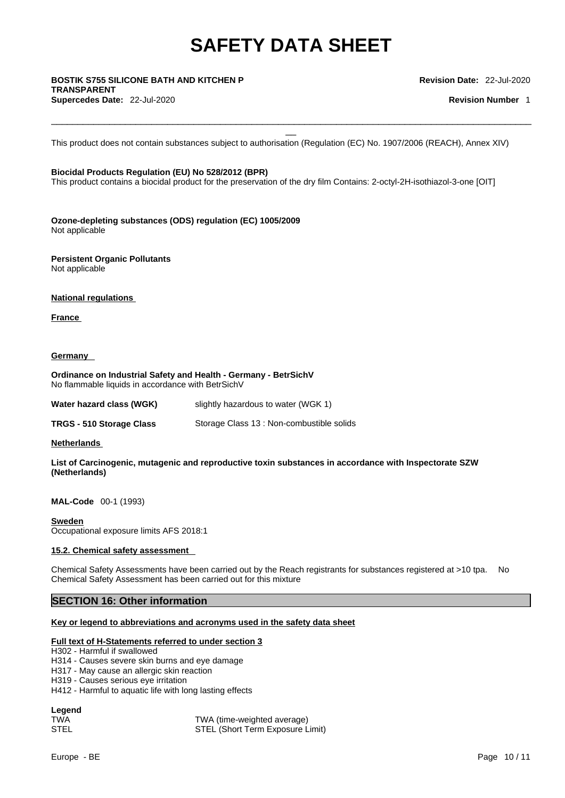# \_\_ **BOSTIK S755 SILICONE BATH AND KITCHEN <sup>P</sup> TRANSPARENT**

**Supercedes Date:** 22-Jul-2020 **Revision Number** 1

**Revision Date:** 22-Jul-2020

This product does not contain substances subject to authorisation (Regulation (EC) No. 1907/2006 (REACH), Annex XIV)

 $\Box$ 

### **Biocidal Products Regulation (EU) No 528/2012 (BPR)**

This product contains a biocidal product for the preservation of the dry film Contains: 2-octyl-2H-isothiazol-3-one [OIT]

**Ozone-depleting substances (ODS) regulation (EC) 1005/2009** Not applicable

**Persistent Organic Pollutants** Not applicable

**National regulations**

**France** 

### **Germany**

**Ordinance on Industrial Safety and Health - Germany - BetrSichV** No flammable liquids in accordance with BetrSichV

| Water hazard class (WGK) | slightly hazardous to water (WGK 1)       |
|--------------------------|-------------------------------------------|
| TRGS - 510 Storage Class | Storage Class 13 : Non-combustible solids |

**Netherlands** 

**List of Carcinogenic, mutagenic and reproductive toxin substances in accordance with Inspectorate SZW (Netherlands)**

**MAL-Code** 00-1 (1993)

**Sweden**

Occupational exposure limits AFS 2018:1

### **15.2. Chemical safety assessment**

Chemical Safety Assessments have been carried out by the Reach registrants for substances registered at >10 tpa. No Chemical Safety Assessment has been carried out for this mixture

### **SECTION 16: Other information**

#### **Key or legend to abbreviations and acronyms used in the safety data sheet**

#### **Full text of H-Statements referred to under section 3**

H302 - Harmful if swallowed

- H314 Causes severe skin burns and eye damage
- H317 May cause an allergic skin reaction
- H319 Causes serious eye irritation
- H412 Harmful to aquatic life with long lasting effects

#### **Legend**

| TWA  | TWA (time-weighted average)      |
|------|----------------------------------|
| STEL | STEL (Short Term Exposure Limit) |